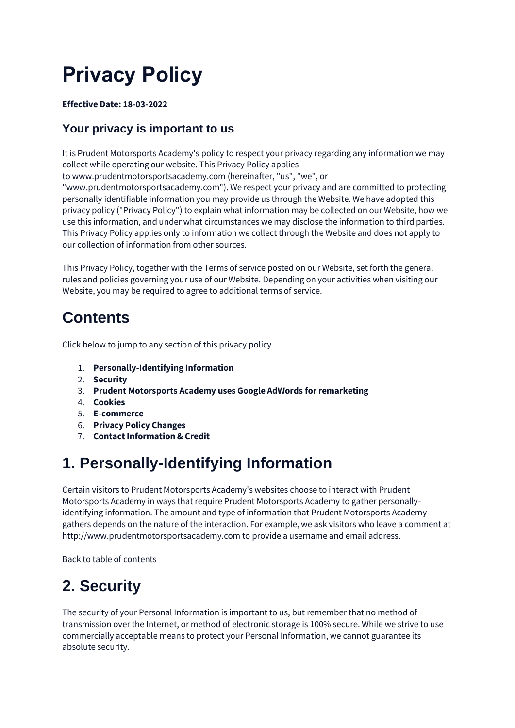# **Privacy Policy**

#### **Effective Date: 18-03-2022**

#### **Your privacy is important to us**

It is Prudent Motorsports Academy's policy to respect your privacy regarding any information we may collect while operating our website. This Privacy Policy applies

to [www.prudentmotorsportsacademy.com](http://www.prudentmotorsportsacademy.com/) (hereinafter, "us", "we", or

"www.prudentmotorsportsacademy.com"). We respect your privacy and are committed to protecting personally identifiable information you may provide us through the Website. We have adopted this privacy policy ("Privacy Policy") to explain what information may be collected on our Website, how we use this information, and under what circumstances we may disclose the information to third parties. This Privacy Policy applies only to information we collect through the Website and does not apply to our collection of information from other sources.

This Privacy Policy, together with the Terms of service posted on our Website, set forth the general rules and policies governing your use of our Website. Depending on your activities when visiting our Website, you may be required to agree to additional terms of service.

#### **Contents**

Click below to jump to any section of this privacy policy

- 1. **[Personally-Identifying Information](https://privacyterms.io/app/?preview=mF4e5bxJ-56jw6ymu-sCBKhO#PII)**
- 2. **[Security](https://privacyterms.io/app/?preview=mF4e5bxJ-56jw6ymu-sCBKhO#Security)**
- 3. **[Prudent Motorsports Academy uses Google AdWords for remarketing](https://privacyterms.io/app/?preview=mF4e5bxJ-56jw6ymu-sCBKhO#Remarketing)**
- 4. **[Cookies](https://privacyterms.io/app/?preview=mF4e5bxJ-56jw6ymu-sCBKhO#Cookies)**
- 5. **[E-commerce](https://privacyterms.io/app/?preview=mF4e5bxJ-56jw6ymu-sCBKhO#Ecommerce)**
- 6. **[Privacy Policy Changes](https://privacyterms.io/app/?preview=mF4e5bxJ-56jw6ymu-sCBKhO#Changes)**
- 7. **[Contact Information & Credit](https://privacyterms.io/app/?preview=mF4e5bxJ-56jw6ymu-sCBKhO#Credit)**

## **1. Personally-Identifying Information**

Certain visitors to Prudent Motorsports Academy's websites choose to interact with Prudent Motorsports Academy in ways that require Prudent Motorsports Academy to gather personallyidentifying information. The amount and type of information that Prudent Motorsports Academy gathers depends on the nature of the interaction. For example, we ask visitors who leave a comment at http://www.prudentmotorsportsacademy.com to provide a username and email address.

[Back to table of contents](https://privacyterms.io/app/?preview=mF4e5bxJ-56jw6ymu-sCBKhO#tableofcontents)

#### **2. Security**

The security of your Personal Information is important to us, but remember that no method of transmission over the Internet, or method of electronic storage is 100% secure. While we strive to use commercially acceptable means to protect your Personal Information, we cannot guarantee its absolute security.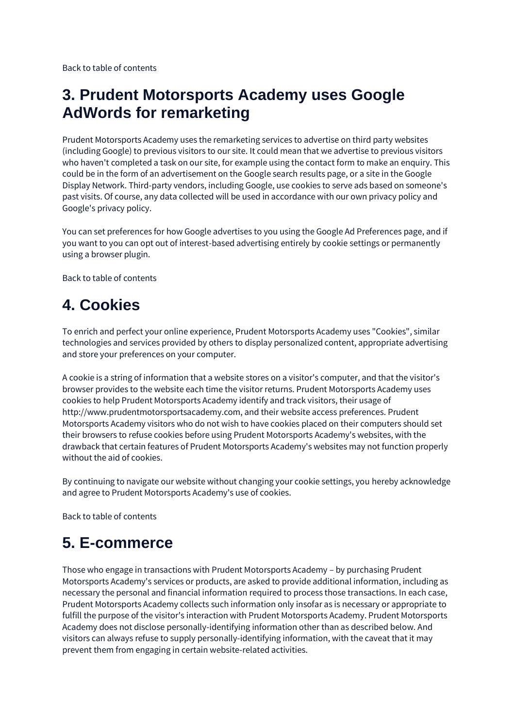[Back to table of contents](https://privacyterms.io/app/?preview=mF4e5bxJ-56jw6ymu-sCBKhO#tableofcontents)

#### **3. Prudent Motorsports Academy uses Google AdWords for remarketing**

Prudent Motorsports Academy uses the remarketing services to advertise on third party websites (including Google) to previous visitors to our site. It could mean that we advertise to previous visitors who haven't completed a task on our site, for example using the contact form to make an enquiry. This could be in the form of an advertisement on the Google search results page, or a site in the Google Display Network. Third-party vendors, including Google, use cookies to serve ads based on someone's past visits. Of course, any data collected will be used in accordance with our own privacy policy and Google's privacy policy.

You can set preferences for how Google advertises to you using the Google Ad Preferences page, and if you want to you can opt out of interest-based advertising entirely by cookie settings or permanently using a browser plugin.

[Back to table of contents](https://privacyterms.io/app/?preview=mF4e5bxJ-56jw6ymu-sCBKhO#tableofcontents)

## **4. Cookies**

To enrich and perfect your online experience, Prudent Motorsports Academy uses "Cookies", similar technologies and services provided by others to display personalized content, appropriate advertising and store your preferences on your computer.

A cookie is a string of information that a website stores on a visitor's computer, and that the visitor's browser provides to the website each time the visitor returns. Prudent Motorsports Academy uses cookies to help Prudent Motorsports Academy identify and track visitors, their usage of http://www.prudentmotorsportsacademy.com, and their website access preferences. Prudent Motorsports Academy visitors who do not wish to have cookies placed on their computers should set their browsers to refuse cookies before using Prudent Motorsports Academy's websites, with the drawback that certain features of Prudent Motorsports Academy's websites may not function properly without the aid of cookies.

By continuing to navigate our website without changing your cookie settings, you hereby acknowledge and agree to Prudent Motorsports Academy's use of cookies.

[Back to table of contents](https://privacyterms.io/app/?preview=mF4e5bxJ-56jw6ymu-sCBKhO#tableofcontents)

## **5. E-commerce**

Those who engage in transactions with Prudent Motorsports Academy – by purchasing Prudent Motorsports Academy's services or products, are asked to provide additional information, including as necessary the personal and financial information required to process those transactions. In each case, Prudent Motorsports Academy collects such information only insofar as is necessary or appropriate to fulfill the purpose of the visitor's interaction with Prudent Motorsports Academy. Prudent Motorsports Academy does not disclose personally-identifying information other than as described below. And visitors can always refuse to supply personally-identifying information, with the caveat that it may prevent them from engaging in certain website-related activities.